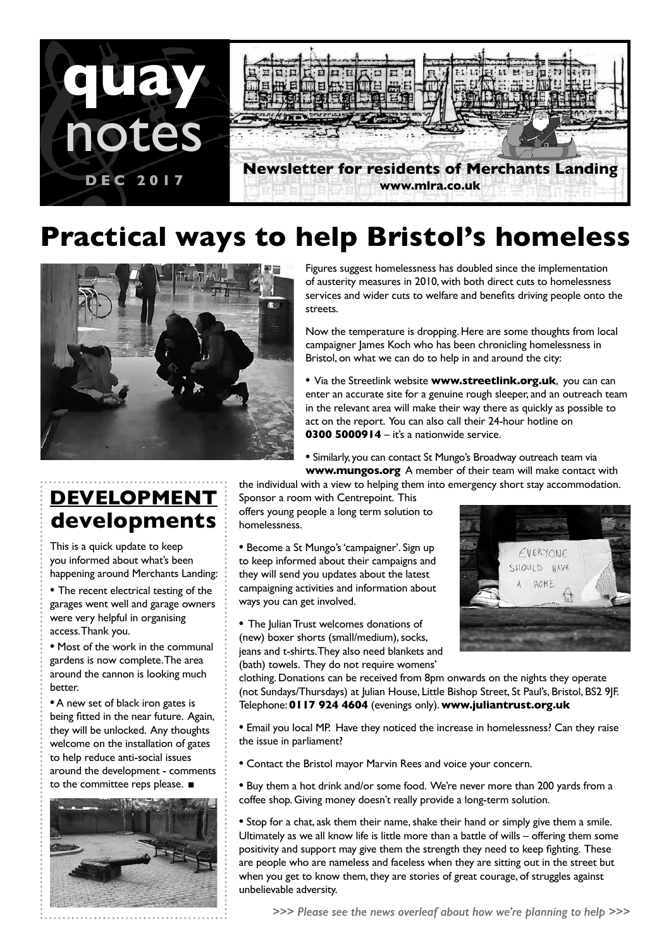

# **Practical ways to help Bristol's homeless**



**DEVELOPMENT developments**

This is a quick update to keep you informed about what's been happening around Merchants Landing:

**•** The recent electrical testing of the garages went well and garage owners were very helpful in organising access. Thank you.

**•** Most of the work in the communal gardens is now complete. The area around the cannon is looking much better.

**•** A new set of black iron gates is being fitted in the near future. Again, they will be unlocked. Any thoughts welcome on the installation of gates to help reduce anti-social issues around the development - comments to the committee reps please. ■



Figures suggest homelessness has doubled since the implementation of austerity measures in 2010, with both direct cuts to homelessness services and wider cuts to welfare and benefits driving people onto the streets.

Now the temperature is dropping. Here are some thoughts from local campaigner James Koch who has been chronicling homelessness in Bristol, on what we can do to help in and around the city:

**•** Via the Streetlink website **www.streetlink.org.uk**, you can can enter an accurate site for a genuine rough sleeper, and an outreach team in the relevant area will make their way there as quickly as possible to act on the report. You can also call their 24-hour hotline on **0300 5000914** – it's a nationwide service.

**•** Similarly, you can contact St Mungo's Broadway outreach team via **www.mungos.org** A member of their team will make contact with

the individual with a view to helping them into emergency short stay accommodation.

Sponsor a room with Centrepoint. This offers young people a long term solution to homelessness.

**•** Become a St Mungo's 'campaigner'. Sign up to keep informed about their campaigns and they will send you updates about the latest campaigning activities and information about ways you can get involved.

**•** The Julian Trust welcomes donations of (new) boxer shorts (small/medium), socks, jeans and t-shirts. They also need blankets and (bath) towels. They do not require womens'



clothing. Donations can be received from 8pm onwards on the nights they operate (not Sundays/Thursdays) at Julian House, Little Bishop Street, St Paul's, Bristol, BS2 9JF. Telephone: **0117 924 4604** (evenings only). **www.juliantrust.org.uk**

**•** Email you local MP. Have they noticed the increase in homelessness? Can they raise the issue in parliament?

**•** Contact the Bristol mayor Marvin Rees and voice your concern.

**•** Buy them a hot drink and/or some food. We're never more than 200 yards from a coffee shop. Giving money doesn't really provide a long-term solution.

**•** Stop for a chat, ask them their name, shake their hand or simply give them a smile. Ultimately as we all know life is little more than a battle of wills – offering them some positivity and support may give them the strength they need to keep fighting. These are people who are nameless and faceless when they are sitting out in the street but when you get to know them, they are stories of great courage, of struggles against unbelievable adversity.